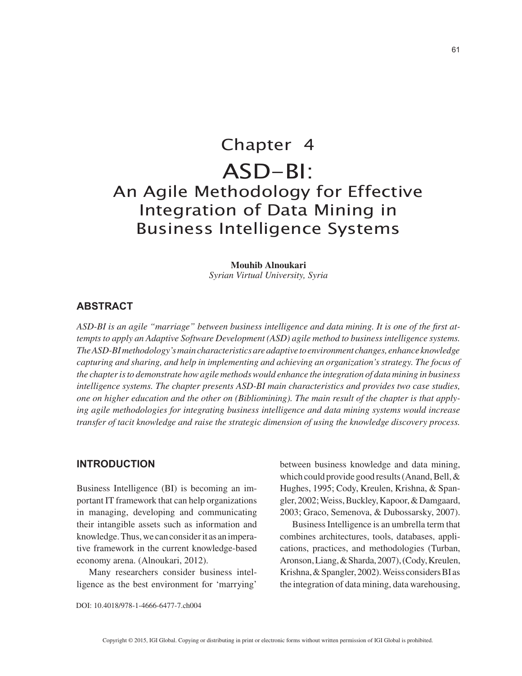# Chapter 4 ASD-BI: An Agile Methodology for Effective Integration of Data Mining in Business Intelligence Systems

#### **Mouhib Alnoukari**

*Syrian Virtual University, Syria*

### **ABSTRACT**

*ASD-BI is an agile "marriage" between business intelligence and data mining. It is one of the first attempts to apply an Adaptive Software Development (ASD) agile method to business intelligence systems. The ASD-BI methodology's main characteristics are adaptive to environment changes, enhance knowledge capturing and sharing, and help in implementing and achieving an organization's strategy. The focus of the chapter is to demonstrate how agile methods would enhance the integration of data mining in business intelligence systems. The chapter presents ASD-BI main characteristics and provides two case studies, one on higher education and the other on (Bibliomining). The main result of the chapter is that applying agile methodologies for integrating business intelligence and data mining systems would increase transfer of tacit knowledge and raise the strategic dimension of using the knowledge discovery process.*

#### **INTRODUCTION**

Business Intelligence (BI) is becoming an important IT framework that can help organizations in managing, developing and communicating their intangible assets such as information and knowledge. Thus, we can consider it as an imperative framework in the current knowledge-based economy arena. (Alnoukari, 2012).

Many researchers consider business intelligence as the best environment for 'marrying' between business knowledge and data mining, which could provide good results (Anand, Bell, & Hughes, 1995; Cody, Kreulen, Krishna, & Spangler, 2002; Weiss, Buckley, Kapoor, & Damgaard, 2003; Graco, Semenova, & Dubossarsky, 2007).

Business Intelligence is an umbrella term that combines architectures, tools, databases, applications, practices, and methodologies (Turban, Aronson, Liang, & Sharda, 2007), (Cody, Kreulen, Krishna, & Spangler, 2002). Weiss considers BI as the integration of data mining, data warehousing,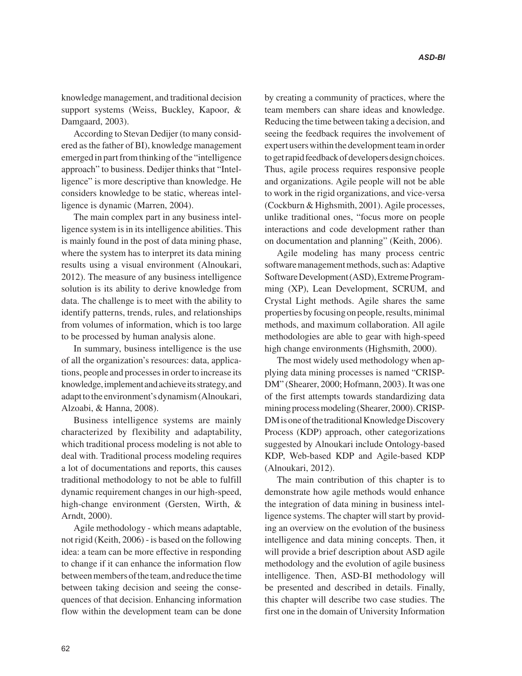knowledge management, and traditional decision support systems (Weiss, Buckley, Kapoor, & Damgaard, 2003).

According to Stevan Dedijer (to many considered as the father of BI), knowledge management emerged in part from thinking of the "intelligence approach" to business. Dedijer thinks that "Intelligence" is more descriptive than knowledge. He considers knowledge to be static, whereas intelligence is dynamic (Marren, 2004).

The main complex part in any business intelligence system is in its intelligence abilities. This is mainly found in the post of data mining phase, where the system has to interpret its data mining results using a visual environment (Alnoukari, 2012). The measure of any business intelligence solution is its ability to derive knowledge from data. The challenge is to meet with the ability to identify patterns, trends, rules, and relationships from volumes of information, which is too large to be processed by human analysis alone.

In summary, business intelligence is the use of all the organization's resources: data, applications, people and processes in order to increase its knowledge, implement and achieve its strategy, and adapt to the environment's dynamism (Alnoukari, Alzoabi, & Hanna, 2008).

Business intelligence systems are mainly characterized by flexibility and adaptability, which traditional process modeling is not able to deal with. Traditional process modeling requires a lot of documentations and reports, this causes traditional methodology to not be able to fulfill dynamic requirement changes in our high-speed, high-change environment (Gersten, Wirth, & Arndt, 2000).

Agile methodology - which means adaptable, not rigid (Keith, 2006) - is based on the following idea: a team can be more effective in responding to change if it can enhance the information flow between members of the team, and reduce the time between taking decision and seeing the consequences of that decision. Enhancing information flow within the development team can be done

by creating a community of practices, where the team members can share ideas and knowledge. Reducing the time between taking a decision, and seeing the feedback requires the involvement of expert users within the development team in order to get rapid feedback of developers design choices. Thus, agile process requires responsive people and organizations. Agile people will not be able to work in the rigid organizations, and vice-versa (Cockburn & Highsmith, 2001). Agile processes, unlike traditional ones, "focus more on people interactions and code development rather than on documentation and planning" (Keith, 2006).

Agile modeling has many process centric software management methods, such as: Adaptive Software Development (ASD), Extreme Programming (XP), Lean Development, SCRUM, and Crystal Light methods. Agile shares the same properties by focusing on people, results, minimal methods, and maximum collaboration. All agile methodologies are able to gear with high-speed high change environments (Highsmith, 2000).

The most widely used methodology when applying data mining processes is named "CRISP-DM" (Shearer, 2000; Hofmann, 2003). It was one of the first attempts towards standardizing data mining process modeling (Shearer, 2000). CRISP-DM is one of the traditional Knowledge Discovery Process (KDP) approach, other categorizations suggested by Alnoukari include Ontology-based KDP, Web-based KDP and Agile-based KDP (Alnoukari, 2012).

The main contribution of this chapter is to demonstrate how agile methods would enhance the integration of data mining in business intelligence systems. The chapter will start by providing an overview on the evolution of the business intelligence and data mining concepts. Then, it will provide a brief description about ASD agile methodology and the evolution of agile business intelligence. Then, ASD-BI methodology will be presented and described in details. Finally, this chapter will describe two case studies. The first one in the domain of University Information